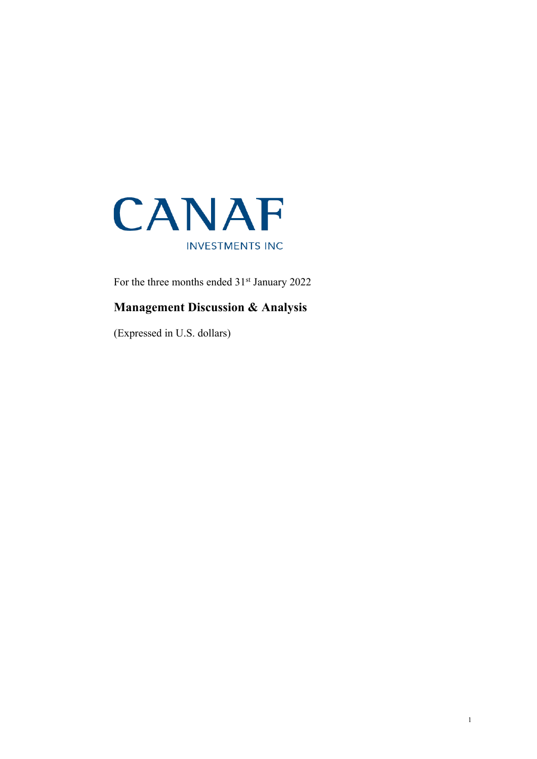

For the three months ended 31<sup>st</sup> January 2022

# **Management Discussion & Analysis**

(Expressed in U.S. dollars)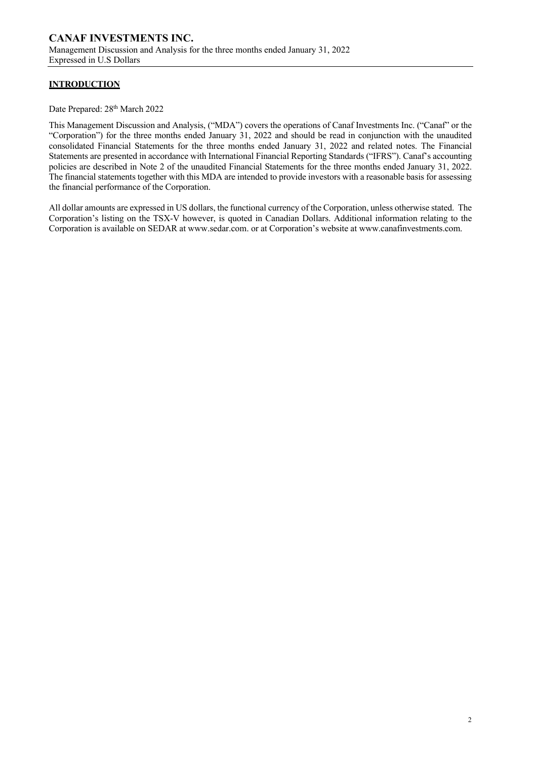### **INTRODUCTION**

Date Prepared:  $28<sup>th</sup> March 2022$ 

This Management Discussion and Analysis, ("MDA") covers the operations of Canaf Investments Inc. ("Canaf" or the "Corporation") for the three months ended January 31, 2022 and should be read in conjunction with the unaudited consolidated Financial Statements for the three months ended January 31, 2022 and related notes. The Financial Statements are presented in accordance with International Financial Reporting Standards ("IFRS"). Canaf's accounting policies are described in Note 2 of the unaudited Financial Statements for the three months ended January 31, 2022. The financial statements together with this MDA are intended to provide investors with a reasonable basis for assessing the financial performance of the Corporation.

All dollar amounts are expressed in US dollars, the functional currency of the Corporation, unless otherwise stated. The Corporation's listing on the TSX-V however, is quoted in Canadian Dollars. Additional information relating to the Corporation is available on SEDAR at www.sedar.com. or at Corporation's website at www.canafinvestments.com.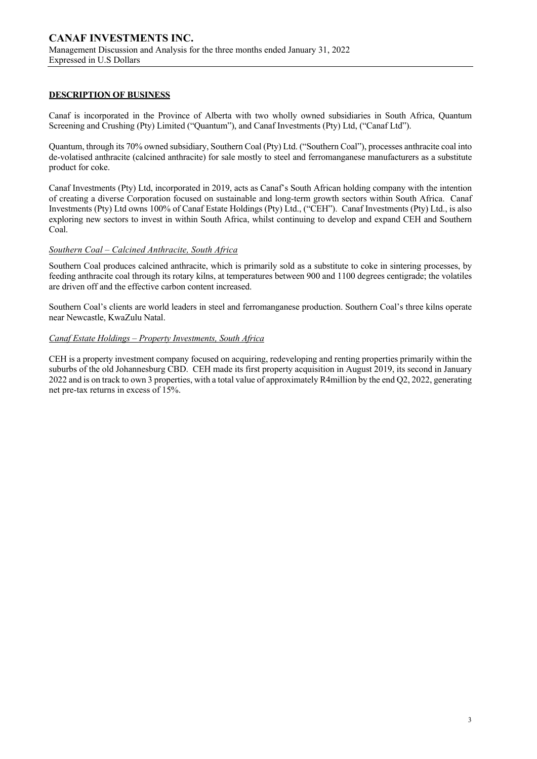#### **DESCRIPTION OF BUSINESS**

Canaf is incorporated in the Province of Alberta with two wholly owned subsidiaries in South Africa, Quantum Screening and Crushing (Pty) Limited ("Quantum"), and Canaf Investments (Pty) Ltd, ("Canaf Ltd").

Quantum, through its 70% owned subsidiary, Southern Coal (Pty) Ltd. ("Southern Coal"), processes anthracite coal into de-volatised anthracite (calcined anthracite) for sale mostly to steel and ferromanganese manufacturers as a substitute product for coke.

Canaf Investments (Pty) Ltd, incorporated in 2019, acts as Canaf's South African holding company with the intention of creating a diverse Corporation focused on sustainable and long-term growth sectors within South Africa. Canaf Investments (Pty) Ltd owns 100% of Canaf Estate Holdings (Pty) Ltd., ("CEH"). Canaf Investments (Pty) Ltd., is also exploring new sectors to invest in within South Africa, whilst continuing to develop and expand CEH and Southern Coal.

### *Southern Coal – Calcined Anthracite, South Africa*

Southern Coal produces calcined anthracite, which is primarily sold as a substitute to coke in sintering processes, by feeding anthracite coal through its rotary kilns, at temperatures between 900 and 1100 degrees centigrade; the volatiles are driven off and the effective carbon content increased.

Southern Coal's clients are world leaders in steel and ferromanganese production. Southern Coal's three kilns operate near Newcastle, KwaZulu Natal.

#### *Canaf Estate Holdings – Property Investments, South Africa*

CEH is a property investment company focused on acquiring, redeveloping and renting properties primarily within the suburbs of the old Johannesburg CBD. CEH made its first property acquisition in August 2019, its second in January 2022 and is on track to own 3 properties, with a total value of approximately R4million by the end Q2, 2022, generating net pre-tax returns in excess of 15%.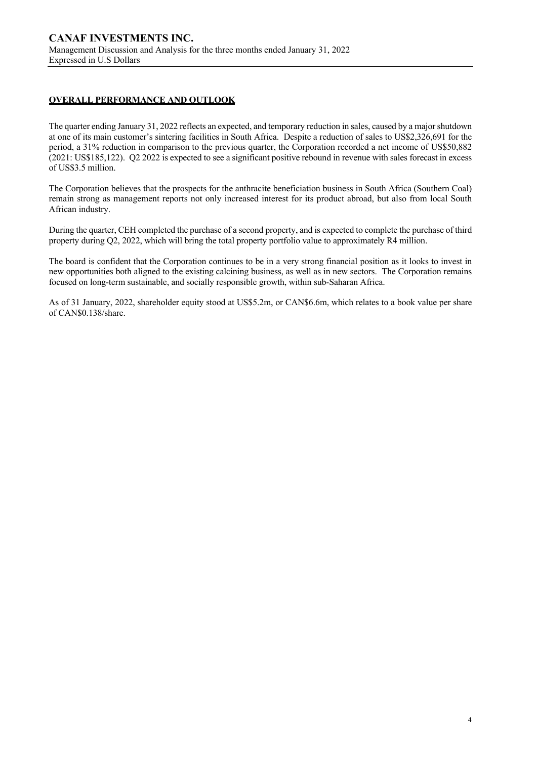### **OVERALL PERFORMANCE AND OUTLOOK**

The quarter ending January 31, 2022 reflects an expected, and temporary reduction in sales, caused by a major shutdown at one of its main customer's sintering facilities in South Africa. Despite a reduction of sales to US\$2,326,691 for the period, a 31% reduction in comparison to the previous quarter, the Corporation recorded a net income of US\$50,882 (2021: US\$185,122). Q2 2022 is expected to see a significant positive rebound in revenue with sales forecast in excess of US\$3.5 million.

The Corporation believes that the prospects for the anthracite beneficiation business in South Africa (Southern Coal) remain strong as management reports not only increased interest for its product abroad, but also from local South African industry.

During the quarter, CEH completed the purchase of a second property, and is expected to complete the purchase of third property during Q2, 2022, which will bring the total property portfolio value to approximately R4 million.

The board is confident that the Corporation continues to be in a very strong financial position as it looks to invest in new opportunities both aligned to the existing calcining business, as well as in new sectors. The Corporation remains focused on long-term sustainable, and socially responsible growth, within sub-Saharan Africa.

As of 31 January, 2022, shareholder equity stood at US\$5.2m, or CAN\$6.6m, which relates to a book value per share of CAN\$0.138/share.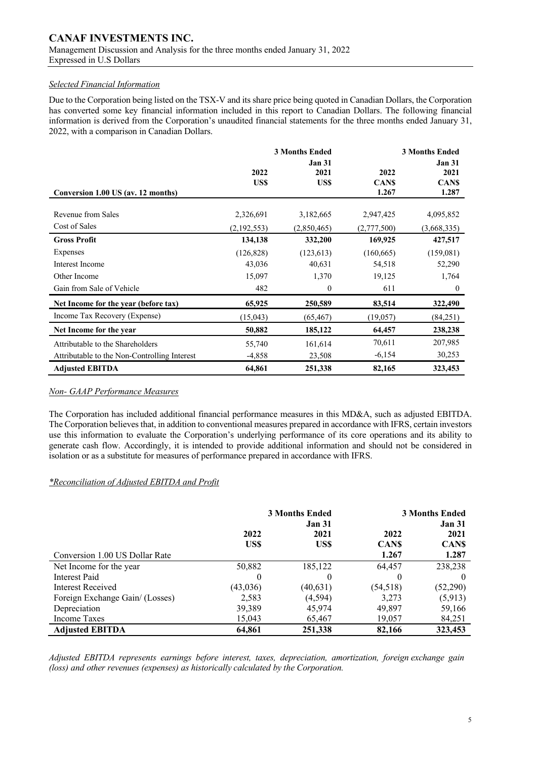### *Selected Financial Information*

Due to the Corporation being listed on the TSX-V and its share price being quoted in Canadian Dollars, the Corporation has converted some key financial information included in this report to Canadian Dollars. The following financial information is derived from the Corporation's unaudited financial statements for the three months ended January 31, 2022, with a comparison in Canadian Dollars.

|                                              |                          | <b>3 Months Ended</b>         |                              | <b>3 Months Ended</b>                         |
|----------------------------------------------|--------------------------|-------------------------------|------------------------------|-----------------------------------------------|
| Conversion 1.00 US (av. 12 months)           | 2022<br>US\$             | <b>Jan 31</b><br>2021<br>US\$ | 2022<br><b>CANS</b><br>1.267 | <b>Jan 31</b><br>2021<br><b>CANS</b><br>1.287 |
| Revenue from Sales<br>Cost of Sales          | 2,326,691<br>(2,192,553) | 3,182,665<br>(2,850,465)      | 2,947,425<br>(2,777,500)     | 4,095,852<br>(3,668,335)                      |
| <b>Gross Profit</b>                          | 134,138                  | 332,200                       | 169,925                      | 427,517                                       |
| Expenses                                     | (126, 828)               | (123, 613)                    | (160, 665)                   | (159,081)                                     |
| Interest Income                              | 43,036                   | 40,631                        | 54,518                       | 52,290                                        |
| Other Income                                 | 15,097                   | 1,370                         | 19,125                       | 1,764                                         |
| Gain from Sale of Vehicle                    | 482                      | $\boldsymbol{0}$              | 611                          | $\theta$                                      |
| Net Income for the year (before tax)         | 65,925                   | 250,589                       | 83,514                       | 322,490                                       |
| Income Tax Recovery (Expense)                | (15,043)                 | (65, 467)                     | (19,057)                     | (84,251)                                      |
| Net Income for the year                      | 50,882                   | 185,122                       | 64,457                       | 238,238                                       |
| Attributable to the Shareholders             | 55,740                   | 161,614                       | 70,611                       | 207,985                                       |
| Attributable to the Non-Controlling Interest | $-4,858$                 | 23,508                        | $-6,154$                     | 30,253                                        |
| <b>Adjusted EBITDA</b>                       | 64,861                   | 251,338                       | 82,165                       | 323,453                                       |

### *Non- GAAP Performance Measures*

The Corporation has included additional financial performance measures in this MD&A, such as adjusted EBITDA. The Corporation believes that, in addition to conventional measures prepared in accordance with IFRS, certain investors use this information to evaluate the Corporation's underlying performance of its core operations and its ability to generate cash flow. Accordingly, it is intended to provide additional information and should not be considered in isolation or as a substitute for measures of performance prepared in accordance with IFRS.

### *\*Reconciliation of Adjusted EBITDA and Profit*

|                                 | <b>3 Months Ended</b><br><b>Jan 31</b> |              |                     | <b>3 Months Ended</b><br><b>Jan 31</b> |
|---------------------------------|----------------------------------------|--------------|---------------------|----------------------------------------|
|                                 | 2022<br>US\$                           | 2021<br>US\$ | 2022<br><b>CANS</b> | 2021<br><b>CANS</b>                    |
| Conversion 1.00 US Dollar Rate  |                                        |              | 1.267               | 1.287                                  |
| Net Income for the year         | 50,882                                 | 185,122      | 64,457              | 238,238                                |
| Interest Paid                   | $\theta$                               | $_{0}$       | $\theta$            | $\theta$                               |
| Interest Received               | (43,036)                               | (40, 631)    | (54, 518)           | (52,290)                               |
| Foreign Exchange Gain/ (Losses) | 2,583                                  | (4, 594)     | 3,273               | (5,913)                                |
| Depreciation                    | 39,389                                 | 45,974       | 49,897              | 59,166                                 |
| Income Taxes                    | 15,043                                 | 65,467       | 19,057              | 84,251                                 |
| <b>Adjusted EBITDA</b>          | 64.861                                 | 251,338      | 82,166              | 323,453                                |

*Adjusted EBITDA represents earnings before interest, taxes, depreciation, amortization, foreign exchange gain (loss) and other revenues (expenses) as historically calculated by the Corporation.*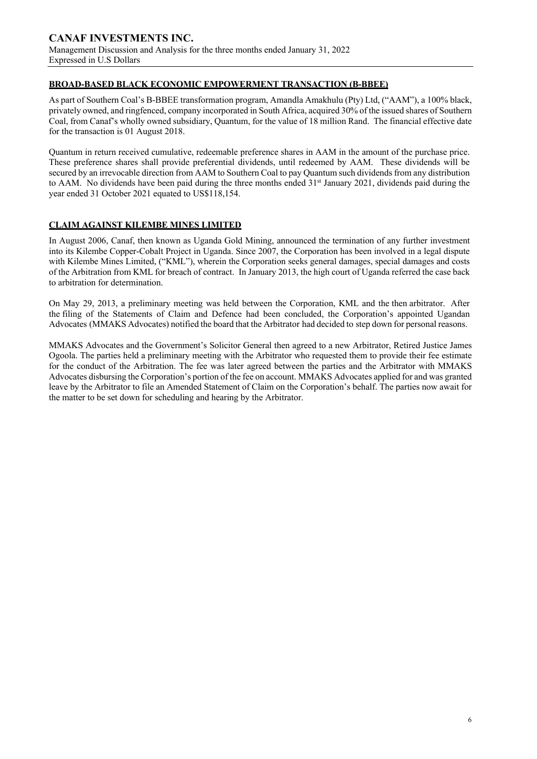### **BROAD-BASED BLACK ECONOMIC EMPOWERMENT TRANSACTION (B-BBEE)**

As part of Southern Coal's B-BBEE transformation program, Amandla Amakhulu (Pty) Ltd, ("AAM"), a 100% black, privately owned, and ringfenced, company incorporated in South Africa, acquired 30% of the issued shares of Southern Coal, from Canaf's wholly owned subsidiary, Quantum, for the value of 18 million Rand. The financial effective date for the transaction is 01 August 2018.

Quantum in return received cumulative, redeemable preference shares in AAM in the amount of the purchase price. These preference shares shall provide preferential dividends, until redeemed by AAM. These dividends will be secured by an irrevocable direction from AAM to Southern Coal to pay Quantum such dividends from any distribution to AAM. No dividends have been paid during the three months ended  $31<sup>st</sup>$  January 2021, dividends paid during the year ended 31 October 2021 equated to US\$118,154.

### **CLAIM AGAINST KILEMBE MINES LIMITED**

In August 2006, Canaf, then known as Uganda Gold Mining, announced the termination of any further investment into its Kilembe Copper-Cobalt Project in Uganda. Since 2007, the Corporation has been involved in a legal dispute with Kilembe Mines Limited, ("KML"), wherein the Corporation seeks general damages, special damages and costs of the Arbitration from KML for breach of contract. In January 2013, the high court of Uganda referred the case back to arbitration for determination.

On May 29, 2013, a preliminary meeting was held between the Corporation, KML and the then arbitrator. After the filing of the Statements of Claim and Defence had been concluded, the Corporation's appointed Ugandan Advocates (MMAKS Advocates) notified the board that the Arbitrator had decided to step down for personal reasons.

MMAKS Advocates and the Government's Solicitor General then agreed to a new Arbitrator, Retired Justice James Ogoola. The parties held a preliminary meeting with the Arbitrator who requested them to provide their fee estimate for the conduct of the Arbitration. The fee was later agreed between the parties and the Arbitrator with MMAKS Advocates disbursing the Corporation's portion of the fee on account. MMAKS Advocates applied for and was granted leave by the Arbitrator to file an Amended Statement of Claim on the Corporation's behalf. The parties now await for the matter to be set down for scheduling and hearing by the Arbitrator.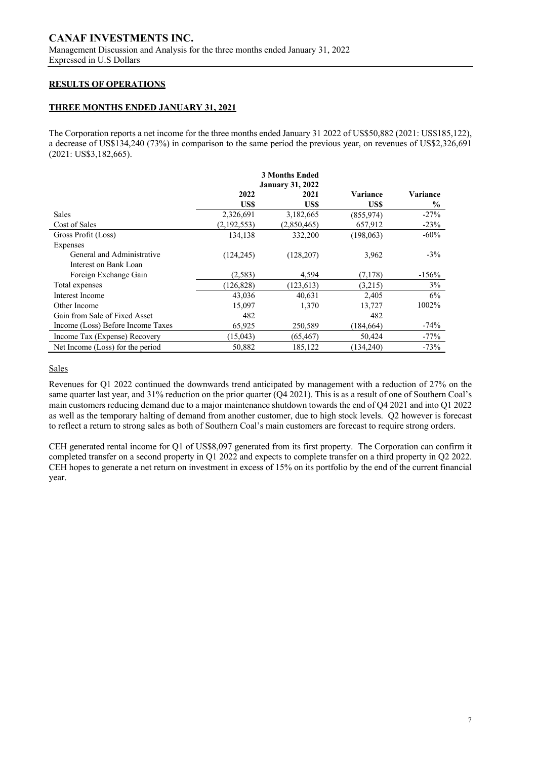### **RESULTS OF OPERATIONS**

### **THREE MONTHS ENDED JANUARY 31, 2021**

The Corporation reports a net income for the three months ended January 31 2022 of US\$50,882 (2021: US\$185,122), a decrease of US\$134,240 (73%) in comparison to the same period the previous year, on revenues of US\$2,326,691 (2021: US\$3,182,665).

|                                   |                         | <b>3 Months Ended</b> |                 |          |
|-----------------------------------|-------------------------|-----------------------|-----------------|----------|
|                                   | <b>January 31, 2022</b> |                       |                 |          |
|                                   | 2022                    | 2021                  | <b>Variance</b> | Variance |
|                                   | US\$                    | US\$                  | US\$            | $\%$     |
| <b>Sales</b>                      | 2,326,691               | 3,182,665             | (855, 974)      | $-27%$   |
| Cost of Sales                     | (2,192,553)             | (2,850,465)           | 657,912         | $-23%$   |
| Gross Profit (Loss)               | 134,138                 | 332,200               | (198, 063)      | $-60\%$  |
| Expenses                          |                         |                       |                 |          |
| General and Administrative        | (124, 245)              | (128, 207)            | 3,962           | $-3\%$   |
| Interest on Bank Loan             |                         |                       |                 |          |
| Foreign Exchange Gain             | (2,583)                 | 4.594                 | (7, 178)        | $-156%$  |
| Total expenses                    | (126, 828)              | (123, 613)            | (3,215)         | 3%       |
| Interest Income                   | 43,036                  | 40.631                | 2,405           | 6%       |
| Other Income                      | 15,097                  | 1,370                 | 13,727          | 1002%    |
| Gain from Sale of Fixed Asset     | 482                     |                       | 482             |          |
| Income (Loss) Before Income Taxes | 65,925                  | 250,589               | (184, 664)      | $-74%$   |
| Income Tax (Expense) Recovery     | (15, 043)               | (65, 467)             | 50,424          | $-77%$   |
| Net Income (Loss) for the period  | 50,882                  | 185,122               | (134, 240)      | $-73%$   |

#### **Sales**

Revenues for Q1 2022 continued the downwards trend anticipated by management with a reduction of 27% on the same quarter last year, and 31% reduction on the prior quarter (Q4 2021). This is as a result of one of Southern Coal's main customers reducing demand due to a major maintenance shutdown towards the end of Q4 2021 and into Q1 2022 as well as the temporary halting of demand from another customer, due to high stock levels. Q2 however is forecast to reflect a return to strong sales as both of Southern Coal's main customers are forecast to require strong orders.

CEH generated rental income for Q1 of US\$8,097 generated from its first property. The Corporation can confirm it completed transfer on a second property in Q1 2022 and expects to complete transfer on a third property in Q2 2022. CEH hopes to generate a net return on investment in excess of 15% on its portfolio by the end of the current financial year.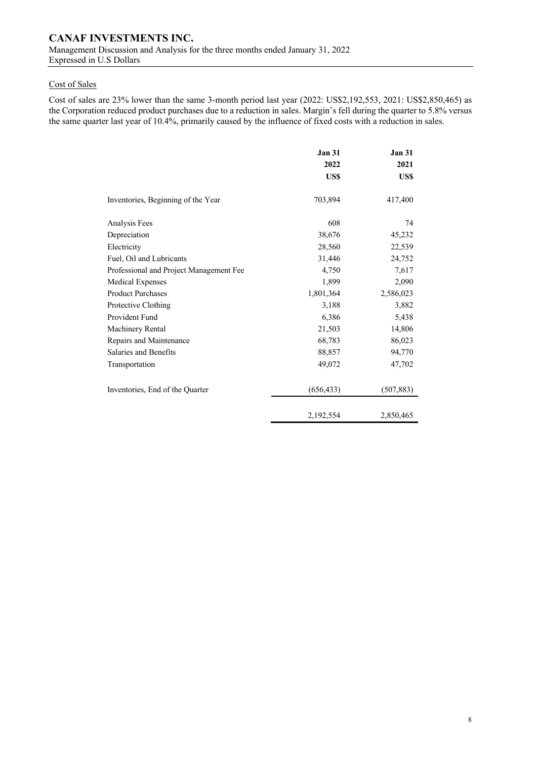### Cost of Sales

Cost of sales are 23% lower than the same 3-month period last year (2022: US\$2,192,553, 2021: US\$2,850,465) as the Corporation reduced product purchases due to a reduction in sales. Margin's fell during the quarter to 5.8% versus the same quarter last year of 10.4%, primarily caused by the influence of fixed costs with a reduction in sales.

|                                         | <b>Jan 31</b> | <b>Jan 31</b> |
|-----------------------------------------|---------------|---------------|
|                                         | 2022          | 2021          |
|                                         | US\$          | US\$          |
| Inventories, Beginning of the Year      | 703,894       | 417,400       |
| Analysis Fees                           | 608           | 74            |
| Depreciation                            | 38,676        | 45,232        |
| Electricity                             | 28,560        | 22,539        |
| Fuel, Oil and Lubricants                | 31,446        | 24,752        |
| Professional and Project Management Fee | 4,750         | 7,617         |
| Medical Expenses                        | 1,899         | 2,090         |
| <b>Product Purchases</b>                | 1,801,364     | 2,586,023     |
| Protective Clothing                     | 3,188         | 3,882         |
| Provident Fund                          | 6,386         | 5,438         |
| Machinery Rental                        | 21,503        | 14,806        |
| Repairs and Maintenance                 | 68,783        | 86,023        |
| Salaries and Benefits                   | 88,857        | 94,770        |
| Transportation                          | 49,072        | 47,702        |
| Inventories, End of the Quarter         | (656, 433)    | (507, 883)    |
|                                         | 2,192,554     | 2,850,465     |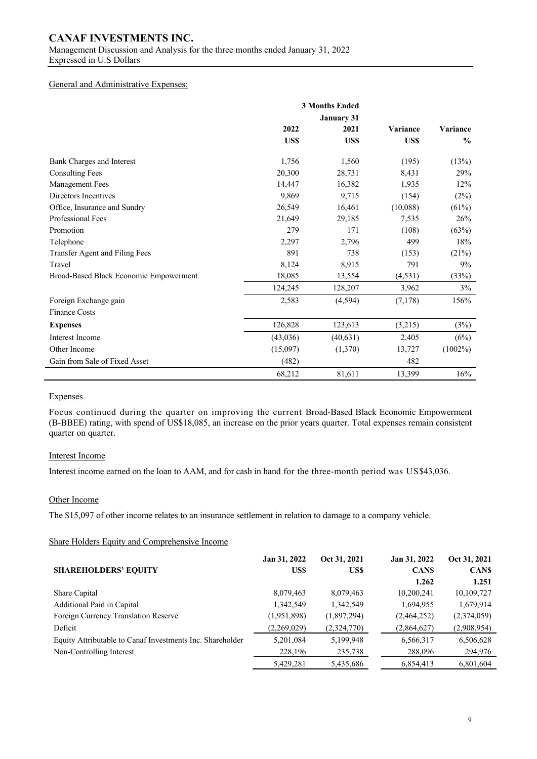## **CANAF INVESTMENTS INC.**

Management Discussion and Analysis for the three months ended January 31, 2022 Expressed in U.S Dollars

#### General and Administrative Expenses:

|                                        |          | <b>3 Months Ended</b> |          |               |
|----------------------------------------|----------|-----------------------|----------|---------------|
|                                        |          | <b>January 31</b>     |          |               |
|                                        | 2022     | 2021                  | Variance | Variance      |
|                                        | US\$     | US\$                  | US\$     | $\frac{6}{6}$ |
| Bank Charges and Interest              | 1,756    | 1,560                 | (195)    | (13%)         |
| <b>Consulting Fees</b>                 | 20,300   | 28,731                | 8,431    | 29%           |
| <b>Management Fees</b>                 | 14,447   | 16,382                | 1,935    | 12%           |
| Directors Incentives                   | 9,869    | 9,715                 | (154)    | (2%)          |
| Office, Insurance and Sundry           | 26,549   | 16,461                | (10,088) | (61%)         |
| Professional Fees                      | 21,649   | 29,185                | 7,535    | 26%           |
| Promotion                              | 279      | 171                   | (108)    | (63%)         |
| Telephone                              | 2,297    | 2,796                 | 499      | 18%           |
| Transfer Agent and Filing Fees         | 891      | 738                   | (153)    | (21%)         |
| Travel                                 | 8,124    | 8,915                 | 791      | 9%            |
| Broad-Based Black Economic Empowerment | 18,085   | 13,554                | (4, 531) | (33%)         |
|                                        | 124,245  | 128,207               | 3,962    | 3%            |
| Foreign Exchange gain                  | 2,583    | (4, 594)              | (7, 178) | 156%          |
| <b>Finance Costs</b>                   |          |                       |          |               |
| <b>Expenses</b>                        | 126,828  | 123,613               | (3,215)  | (3%)          |
| Interest Income                        | (43,036) | (40, 631)             | 2,405    | (6%)          |
| Other Income                           | (15,097) | (1,370)               | 13,727   | $(1002\%)$    |
| Gain from Sale of Fixed Asset          | (482)    |                       | 482      |               |
|                                        | 68,212   | 81,611                | 13,399   | 16%           |

#### Expenses

Focus continued during the quarter on improving the current Broad-Based Black Economic Empowerment (B-BBEE) rating, with spend of US\$18,085, an increase on the prior years quarter. Total expenses remain consistent quarter on quarter.

#### Interest Income

Interest income earned on the loan to AAM, and for cash in hand for the three-month period was US\$43,036.

### Other Income

The \$15,097 of other income relates to an insurance settlement in relation to damage to a company vehicle.

#### Share Holders Equity and Comprehensive Income

|                                                           | Jan 31, 2022 | Oct 31, 2021 | Jan 31, 2022 | Oct 31, 2021 |
|-----------------------------------------------------------|--------------|--------------|--------------|--------------|
| <b>SHAREHOLDERS' EQUITY</b>                               | US\$         | US\$         | <b>CANS</b>  | <b>CANS</b>  |
|                                                           |              |              | 1.262        | 1.251        |
| Share Capital                                             | 8,079,463    | 8,079,463    | 10,200,241   | 10,109,727   |
| Additional Paid in Capital                                | 1,342,549    | 1,342,549    | 1,694,955    | 1,679,914    |
| Foreign Currency Translation Reserve                      | (1,951,898)  | (1,897,294)  | (2,464,252)  | (2,374,059)  |
| Deficit                                                   | (2,269,029)  | (2,324,770)  | (2,864,627)  | (2,908,954)  |
| Equity Attributable to Canaf Investments Inc. Shareholder | 5,201,084    | 5,199,948    | 6,566,317    | 6,506,628    |
| Non-Controlling Interest                                  | 228,196      | 235,738      | 288,096      | 294,976      |
|                                                           | 5,429,281    | 5,435,686    | 6,854,413    | 6,801,604    |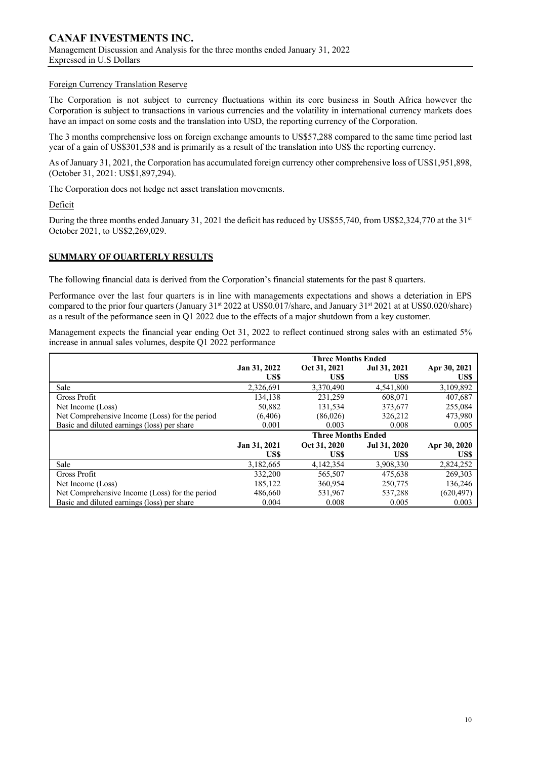#### Foreign Currency Translation Reserve

The Corporation is not subject to currency fluctuations within its core business in South Africa however the Corporation is subject to transactions in various currencies and the volatility in international currency markets does have an impact on some costs and the translation into USD, the reporting currency of the Corporation.

The 3 months comprehensive loss on foreign exchange amounts to US\$57,288 compared to the same time period last year of a gain of US\$301,538 and is primarily as a result of the translation into US\$ the reporting currency.

As of January 31, 2021, the Corporation has accumulated foreign currency other comprehensive loss of US\$1,951,898, (October 31, 2021: US\$1,897,294).

The Corporation does not hedge net asset translation movements.

Deficit

During the three months ended January 31, 2021 the deficit has reduced by US\$55,740, from US\$2,324,770 at the 31<sup>st</sup> October 2021, to US\$2,269,029.

### **SUMMARY OF QUARTERLY RESULTS**

The following financial data is derived from the Corporation's financial statements for the past 8 quarters.

Performance over the last four quarters is in line with managements expectations and shows a deteriation in EPS compared to the prior four quarters (January 31st 2022 at US\$0.017/share, and January 31st 2021 at at US\$0.020/share) as a result of the peformance seen in Q1 2022 due to the effects of a major shutdown from a key customer.

Management expects the financial year ending Oct 31, 2022 to reflect continued strong sales with an estimated 5% increase in annual sales volumes, despite Q1 2022 performance

|                                                |              | <b>Three Months Ended</b> |              |              |
|------------------------------------------------|--------------|---------------------------|--------------|--------------|
|                                                | Jan 31, 2022 | Oct 31, 2021              | Jul 31, 2021 | Apr 30, 2021 |
|                                                | US\$         | US\$                      | US\$         | US\$         |
| Sale                                           | 2,326,691    | 3,370,490                 | 4,541,800    | 3,109,892    |
| Gross Profit                                   | 134,138      | 231.259                   | 608,071      | 407,687      |
| Net Income (Loss)                              | 50,882       | 131,534                   | 373,677      | 255,084      |
| Net Comprehensive Income (Loss) for the period | (6, 406)     | (86,026)                  | 326,212      | 473,980      |
| Basic and diluted earnings (loss) per share    | 0.001        | 0.003                     | 0.008        | 0.005        |
|                                                |              | <b>Three Months Ended</b> |              |              |
|                                                | Jan 31, 2021 | Oct 31, 2020              | Jul 31, 2020 | Apr 30, 2020 |
|                                                | US\$         | US\$                      | US\$         | US\$         |
| Sale                                           | 3,182,665    | 4,142,354                 | 3,908,330    | 2,824,252    |
| Gross Profit                                   | 332,200      | 565,507                   | 475,638      | 269,303      |
| Net Income (Loss)                              | 185,122      | 360,954                   | 250,775      | 136,246      |
| Net Comprehensive Income (Loss) for the period | 486,660      | 531,967                   | 537,288      | (620, 497)   |
| Basic and diluted earnings (loss) per share    | 0.004        | 0.008                     | 0.005        | 0.003        |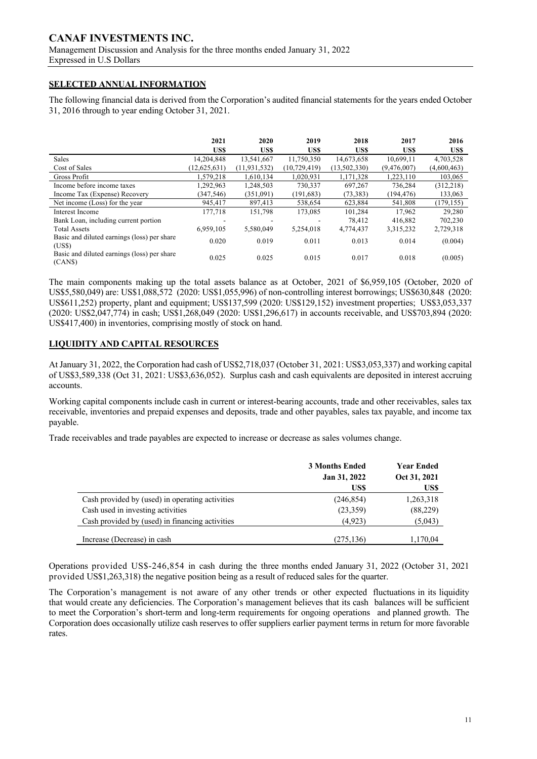### **SELECTED ANNUAL INFORMATION**

The following financial data is derived from the Corporation's audited financial statements for the years ended October 31, 2016 through to year ending October 31, 2021.

|                                                        | 2021           | 2020           | 2019           | 2018         | 2017        | 2016        |
|--------------------------------------------------------|----------------|----------------|----------------|--------------|-------------|-------------|
|                                                        | US\$           | US\$           | <b>USS</b>     | US\$         | US\$        | US\$        |
| Sales                                                  | 14,204,848     | 13,541,667     | 11,750,350     | 14,673,658   | 10.699.11   | 4,703,528   |
| Cost of Sales                                          | (12, 625, 631) | (11, 931, 532) | (10, 729, 419) | (13,502,330) | (9,476,007) | (4,600,463) |
| Gross Profit                                           | 1,579,218      | 1,610,134      | 1,020,931      | 1,171,328    | 1,223,110   | 103,065     |
| Income before income taxes                             | 1.292.963      | 1,248,503      | 730,337        | 697.267      | 736.284     | (312, 218)  |
| Income Tax (Expense) Recovery                          | (347, 546)     | (351,091)      | (191, 683)     | (73, 383)    | (194, 476)  | 133,063     |
| Net income (Loss) for the year                         | 945,417        | 897,413        | 538,654        | 623,884      | 541,808     | (179, 155)  |
| Interest Income                                        | 177.718        | 151.798        | 173,085        | 101.284      | 17.962      | 29.280      |
| Bank Loan, including current portion                   |                |                |                | 78,412       | 416,882     | 702,230     |
| <b>Total Assets</b>                                    | 6.959.105      | 5.580,049      | 5.254,018      | 4,774,437    | 3,315,232   | 2,729,318   |
| Basic and diluted earnings (loss) per share<br>(USS)   | 0.020          | 0.019          | 0.011          | 0.013        | 0.014       | (0.004)     |
| Basic and diluted earnings (loss) per share<br>(CAN\$) | 0.025          | 0.025          | 0.015          | 0.017        | 0.018       | (0.005)     |

The main components making up the total assets balance as at October, 2021 of \$6,959,105 (October, 2020 of US\$5,580,049) are: US\$1,088,572 (2020: US\$1,055,996) of non-controlling interest borrowings; US\$630,848 (2020: US\$611,252) property, plant and equipment; US\$137,599 (2020: US\$129,152) investment properties; US\$3,053,337 (2020: US\$2,047,774) in cash; US\$1,268,049 (2020: US\$1,296,617) in accounts receivable, and US\$703,894 (2020: US\$417,400) in inventories, comprising mostly of stock on hand.

### **LIQUIDITY AND CAPITAL RESOURCES**

At January 31, 2022, the Corporation had cash of US\$2,718,037 (October 31, 2021: US\$3,053,337) and working capital of US\$3,589,338 (Oct 31, 2021: US\$3,636,052). Surplus cash and cash equivalents are deposited in interest accruing accounts.

Working capital components include cash in current or interest-bearing accounts, trade and other receivables, sales tax receivable, inventories and prepaid expenses and deposits, trade and other payables, sales tax payable, and income tax payable.

Trade receivables and trade payables are expected to increase or decrease as sales volumes change.

|                                                 | <b>3 Months Ended</b><br>Jan 31, 2022 | <b>Year Ended</b><br>Oct 31, 2021 |
|-------------------------------------------------|---------------------------------------|-----------------------------------|
|                                                 | US\$                                  | US\$                              |
| Cash provided by (used) in operating activities | (246, 854)                            | 1,263,318                         |
| Cash used in investing activities               | (23,359)                              | (88,229)                          |
| Cash provided by (used) in financing activities | (4.923)                               | (5,043)                           |
| Increase (Decrease) in cash                     | (275, 136)                            | 1,170,04                          |

Operations provided US\$-246,854 in cash during the three months ended January 31, 2022 (October 31, 2021 provided US\$1,263,318) the negative position being as a result of reduced sales for the quarter.

The Corporation's management is not aware of any other trends or other expected fluctuations in its liquidity that would create any deficiencies. The Corporation's management believes that its cash balances will be sufficient to meet the Corporation's short-term and long-term requirements for ongoing operations and planned growth. The Corporation does occasionally utilize cash reserves to offer suppliers earlier payment terms in return for more favorable rates.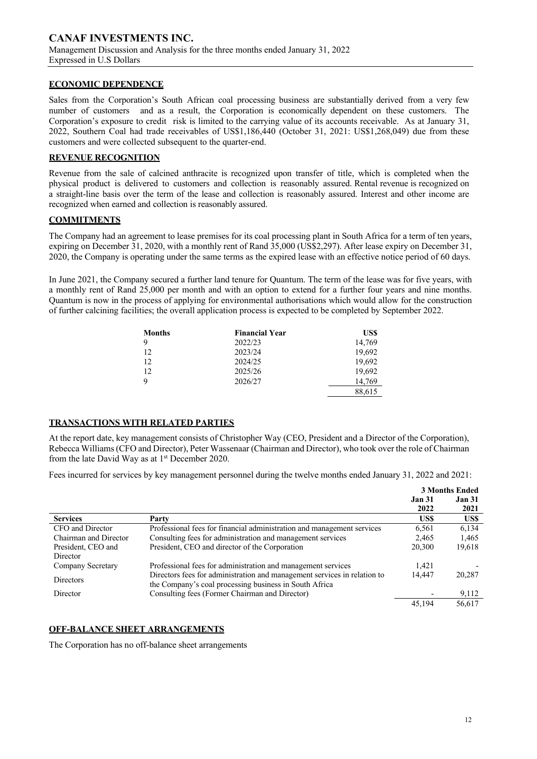### **ECONOMIC DEPENDENCE**

Sales from the Corporation's South African coal processing business are substantially derived from a very few number of customers and as a result, the Corporation is economically dependent on these customers. The Corporation's exposure to credit risk is limited to the carrying value of its accounts receivable. As at January 31, 2022, Southern Coal had trade receivables of US\$1,186,440 (October 31, 2021: US\$1,268,049) due from these customers and were collected subsequent to the quarter-end.

### **REVENUE RECOGNITION**

Revenue from the sale of calcined anthracite is recognized upon transfer of title, which is completed when the physical product is delivered to customers and collection is reasonably assured. Rental revenue is recognized on a straight-line basis over the term of the lease and collection is reasonably assured. Interest and other income are recognized when earned and collection is reasonably assured.

### **COMMITMENTS**

The Company had an agreement to lease premises for its coal processing plant in South Africa for a term of ten years, expiring on December 31, 2020, with a monthly rent of Rand 35,000 (US\$2,297). After lease expiry on December 31, 2020, the Company is operating under the same terms as the expired lease with an effective notice period of 60 days.

In June 2021, the Company secured a further land tenure for Quantum. The term of the lease was for five years, with a monthly rent of Rand 25,000 per month and with an option to extend for a further four years and nine months. Quantum is now in the process of applying for environmental authorisations which would allow for the construction of further calcining facilities; the overall application process is expected to be completed by September 2022.

| <b>Months</b> | <b>Financial Year</b> | US\$   |
|---------------|-----------------------|--------|
| 9             | 2022/23               | 14,769 |
| 12            | 2023/24               | 19,692 |
| 12            | 2024/25               | 19,692 |
| 12            | 2025/26               | 19,692 |
| 9             | 2026/27               | 14.769 |
|               |                       | 88,615 |

### **TRANSACTIONS WITH RELATED PARTIES**

At the report date, key management consists of Christopher Way (CEO, President and a Director of the Corporation), Rebecca Williams (CFO and Director), Peter Wassenaar (Chairman and Director), who took over the role of Chairman from the late David Way as at  $1<sup>st</sup>$  December 2020.

Fees incurred for services by key management personnel during the twelve months ended January 31, 2022 and 2021:

|                       |                                                                          |               | <b>3 Months Ended</b> |
|-----------------------|--------------------------------------------------------------------------|---------------|-----------------------|
|                       |                                                                          | <b>Jan 31</b> | <b>Jan 31</b>         |
|                       |                                                                          | 2022          | 2021                  |
| <b>Services</b>       | Party                                                                    | US\$          | US\$                  |
| CFO and Director      | Professional fees for financial administration and management services   | 6,561         | 6,134                 |
| Chairman and Director | Consulting fees for administration and management services               | 2,465         | 1,465                 |
| President, CEO and    | President, CEO and director of the Corporation                           | 20,300        | 19,618                |
| Director              |                                                                          |               |                       |
| Company Secretary     | Professional fees for administration and management services             | 1.421         |                       |
| <b>Directors</b>      | Directors fees for administration and management services in relation to | 14.447        | 20,287                |
|                       | the Company's coal processing business in South Africa                   |               |                       |
| Director              | Consulting fees (Former Chairman and Director)                           |               | 9,112                 |
|                       |                                                                          | 45,194        | 56.617                |

### **OFF-BALANCE SHEET ARRANGEMENTS**

The Corporation has no off-balance sheet arrangements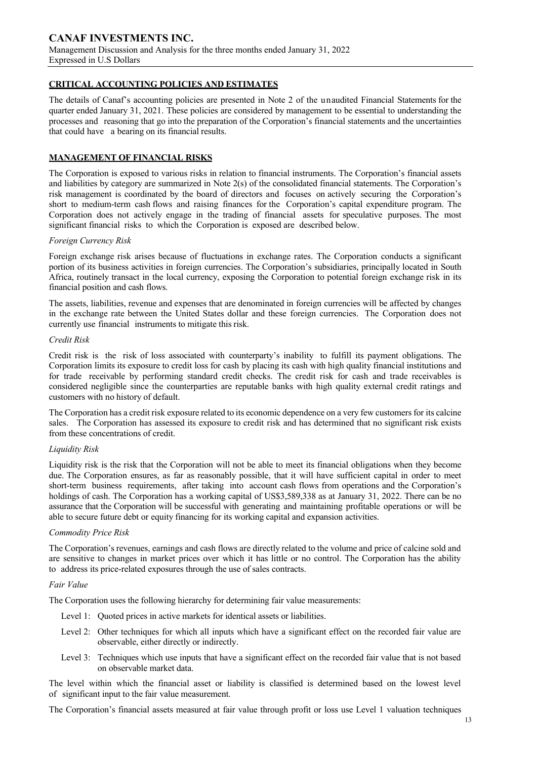### **CRITICAL ACCOUNTING POLICIES AND ESTIMATES**

The details of Canaf's accounting policies are presented in Note 2 of the unaudited Financial Statements for the quarter ended January 31, 2021. These policies are considered by management to be essential to understanding the processes and reasoning that go into the preparation of the Corporation's financial statements and the uncertainties that could have a bearing on its financial results.

### **MANAGEMENT OF FINANCIAL RISKS**

The Corporation is exposed to various risks in relation to financial instruments. The Corporation's financial assets and liabilities by category are summarized in Note 2(s) of the consolidated financial statements. The Corporation's risk management is coordinated by the board of directors and focuses on actively securing the Corporation's short to medium-term cash flows and raising finances for the Corporation's capital expenditure program. The Corporation does not actively engage in the trading of financial assets for speculative purposes. The most significant financial risks to which the Corporation is exposed are described below.

#### *Foreign Currency Risk*

Foreign exchange risk arises because of fluctuations in exchange rates. The Corporation conducts a significant portion of its business activities in foreign currencies. The Corporation's subsidiaries, principally located in South Africa, routinely transact in the local currency, exposing the Corporation to potential foreign exchange risk in its financial position and cash flows.

The assets, liabilities, revenue and expenses that are denominated in foreign currencies will be affected by changes in the exchange rate between the United States dollar and these foreign currencies. The Corporation does not currently use financial instruments to mitigate this risk.

#### *Credit Risk*

Credit risk is the risk of loss associated with counterparty's inability to fulfill its payment obligations. The Corporation limits its exposure to credit loss for cash by placing its cash with high quality financial institutions and for trade receivable by performing standard credit checks. The credit risk for cash and trade receivables is considered negligible since the counterparties are reputable banks with high quality external credit ratings and customers with no history of default.

The Corporation has a credit risk exposure related to its economic dependence on a very few customersfor its calcine sales. The Corporation has assessed its exposure to credit risk and has determined that no significant risk exists from these concentrations of credit.

#### *Liquidity Risk*

Liquidity risk is the risk that the Corporation will not be able to meet its financial obligations when they become due. The Corporation ensures, as far as reasonably possible, that it will have sufficient capital in order to meet short-term business requirements, after taking into account cash flows from operations and the Corporation's holdings of cash. The Corporation has a working capital of US\$3,589,338 as at January 31, 2022. There can be no assurance that the Corporation will be successful with generating and maintaining profitable operations or will be able to secure future debt or equity financing for its working capital and expansion activities.

#### *Commodity Price Risk*

The Corporation's revenues, earnings and cash flows are directly related to the volume and price of calcine sold and are sensitive to changes in market prices over which it has little or no control. The Corporation has the ability to address its price-related exposures through the use of sales contracts.

#### *Fair Value*

The Corporation uses the following hierarchy for determining fair value measurements:

- Level 1: Quoted prices in active markets for identical assets or liabilities.
- Level 2: Other techniques for which all inputs which have a significant effect on the recorded fair value are observable, either directly or indirectly.
- Level 3: Techniques which use inputs that have a significant effect on the recorded fair value that is not based on observable market data.

The level within which the financial asset or liability is classified is determined based on the lowest level of significant input to the fair value measurement.

The Corporation's financial assets measured at fair value through profit or loss use Level 1 valuation techniques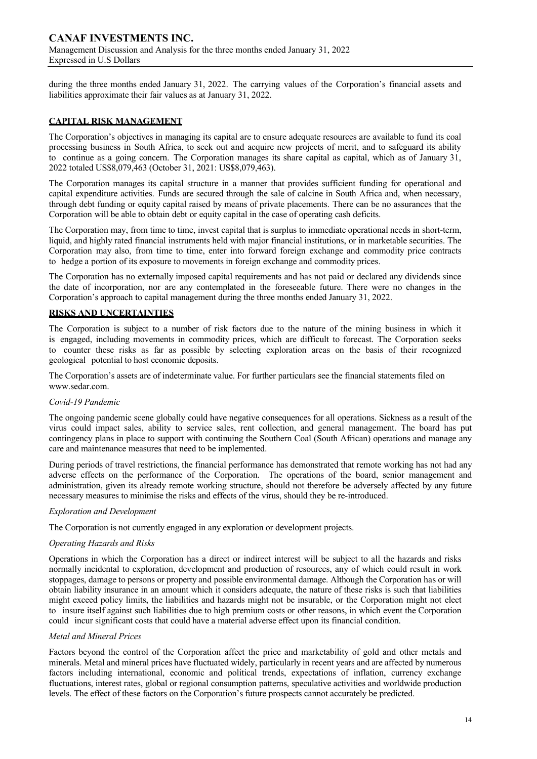during the three months ended January 31, 2022. The carrying values of the Corporation's financial assets and liabilities approximate their fair values as at January 31, 2022.

### **CAPITAL RISK MANAGEMENT**

The Corporation's objectives in managing its capital are to ensure adequate resources are available to fund its coal processing business in South Africa, to seek out and acquire new projects of merit, and to safeguard its ability to continue as a going concern. The Corporation manages its share capital as capital, which as of January 31, 2022 totaled US\$8,079,463 (October 31, 2021: US\$8,079,463).

The Corporation manages its capital structure in a manner that provides sufficient funding for operational and capital expenditure activities. Funds are secured through the sale of calcine in South Africa and, when necessary, through debt funding or equity capital raised by means of private placements. There can be no assurances that the Corporation will be able to obtain debt or equity capital in the case of operating cash deficits.

The Corporation may, from time to time, invest capital that is surplus to immediate operational needs in short-term, liquid, and highly rated financial instruments held with major financial institutions, or in marketable securities. The Corporation may also, from time to time, enter into forward foreign exchange and commodity price contracts to hedge a portion of its exposure to movements in foreign exchange and commodity prices.

The Corporation has no externally imposed capital requirements and has not paid or declared any dividends since the date of incorporation, nor are any contemplated in the foreseeable future. There were no changes in the Corporation's approach to capital management during the three months ended January 31, 2022.

### **RISKS AND UNCERTAINTIES**

The Corporation is subject to a number of risk factors due to the nature of the mining business in which it is engaged, including movements in commodity prices, which are difficult to forecast. The Corporation seeks to counter these risks as far as possible by selecting exploration areas on the basis of their recognized geological potential to host economic deposits.

The Corporation's assets are of indeterminate value. For further particulars see the financial statements filed on www.sedar.com.

#### *Covid-19 Pandemic*

The ongoing pandemic scene globally could have negative consequences for all operations. Sickness as a result of the virus could impact sales, ability to service sales, rent collection, and general management. The board has put contingency plans in place to support with continuing the Southern Coal (South African) operations and manage any care and maintenance measures that need to be implemented.

During periods of travel restrictions, the financial performance has demonstrated that remote working has not had any adverse effects on the performance of the Corporation. The operations of the board, senior management and administration, given its already remote working structure, should not therefore be adversely affected by any future necessary measures to minimise the risks and effects of the virus, should they be re-introduced.

#### *Exploration and Development*

The Corporation is not currently engaged in any exploration or development projects.

#### *Operating Hazards and Risks*

Operations in which the Corporation has a direct or indirect interest will be subject to all the hazards and risks normally incidental to exploration, development and production of resources, any of which could result in work stoppages, damage to persons or property and possible environmental damage. Although the Corporation has or will obtain liability insurance in an amount which it considers adequate, the nature of these risks is such that liabilities might exceed policy limits, the liabilities and hazards might not be insurable, or the Corporation might not elect to insure itself against such liabilities due to high premium costs or other reasons, in which event the Corporation could incur significant costs that could have a material adverse effect upon its financial condition.

#### *Metal and Mineral Prices*

Factors beyond the control of the Corporation affect the price and marketability of gold and other metals and minerals. Metal and mineral prices have fluctuated widely, particularly in recent years and are affected by numerous factors including international, economic and political trends, expectations of inflation, currency exchange fluctuations, interest rates, global or regional consumption patterns, speculative activities and worldwide production levels. The effect of these factors on the Corporation's future prospects cannot accurately be predicted.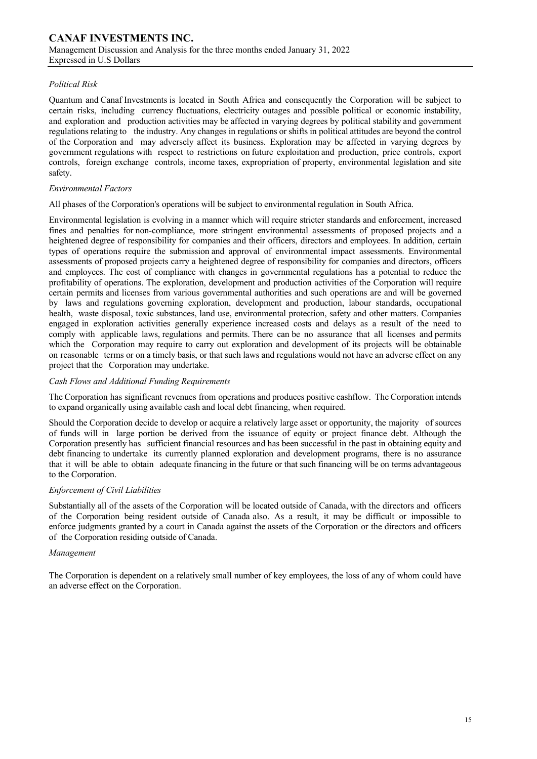### *Political Risk*

Quantum and Canaf Investments is located in South Africa and consequently the Corporation will be subject to certain risks, including currency fluctuations, electricity outages and possible political or economic instability, and exploration and production activities may be affected in varying degrees by political stability and government regulations relating to the industry. Any changes in regulations or shifts in political attitudes are beyond the control of the Corporation and may adversely affect its business. Exploration may be affected in varying degrees by government regulations with respect to restrictions on future exploitation and production, price controls, export controls, foreign exchange controls, income taxes, expropriation of property, environmental legislation and site safety.

#### *Environmental Factors*

#### All phases of the Corporation's operations will be subject to environmental regulation in South Africa.

Environmental legislation is evolving in a manner which will require stricter standards and enforcement, increased fines and penalties for non-compliance, more stringent environmental assessments of proposed projects and a heightened degree of responsibility for companies and their officers, directors and employees. In addition, certain types of operations require the submission and approval of environmental impact assessments. Environmental assessments of proposed projects carry a heightened degree of responsibility for companies and directors, officers and employees. The cost of compliance with changes in governmental regulations has a potential to reduce the profitability of operations. The exploration, development and production activities of the Corporation will require certain permits and licenses from various governmental authorities and such operations are and will be governed by laws and regulations governing exploration, development and production, labour standards, occupational health, waste disposal, toxic substances, land use, environmental protection, safety and other matters. Companies engaged in exploration activities generally experience increased costs and delays as a result of the need to comply with applicable laws, regulations and permits. There can be no assurance that all licenses and permits which the Corporation may require to carry out exploration and development of its projects will be obtainable on reasonable terms or on a timely basis, or that such laws and regulations would not have an adverse effect on any project that the Corporation may undertake.

#### *Cash Flows and Additional Funding Requirements*

The Corporation has significant revenues from operations and produces positive cashflow. The Corporation intends to expand organically using available cash and local debt financing, when required.

Should the Corporation decide to develop or acquire a relatively large asset or opportunity, the majority of sources of funds will in large portion be derived from the issuance of equity or project finance debt. Although the Corporation presently has sufficient financial resources and has been successful in the past in obtaining equity and debt financing to undertake its currently planned exploration and development programs, there is no assurance that it will be able to obtain adequate financing in the future or that such financing will be on terms advantageous to the Corporation.

#### *Enforcement of Civil Liabilities*

Substantially all of the assets of the Corporation will be located outside of Canada, with the directors and officers of the Corporation being resident outside of Canada also. As a result, it may be difficult or impossible to enforce judgments granted by a court in Canada against the assets of the Corporation or the directors and officers of the Corporation residing outside of Canada.

#### *Management*

The Corporation is dependent on a relatively small number of key employees, the loss of any of whom could have an adverse effect on the Corporation.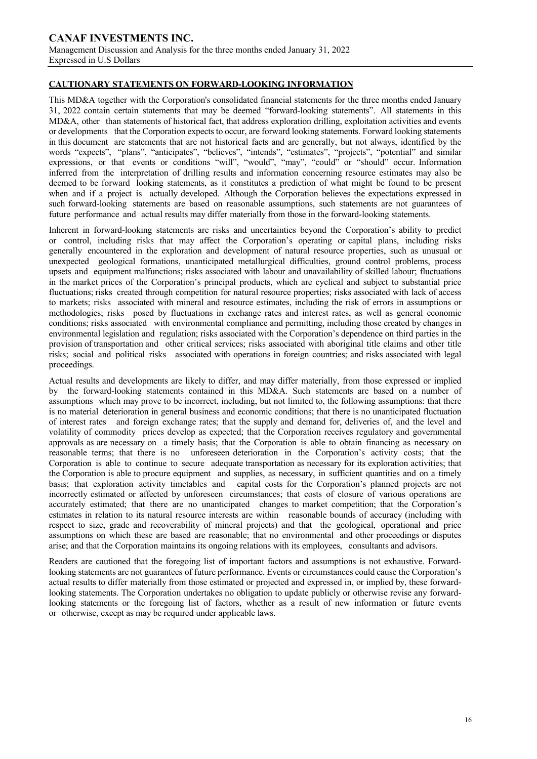### **CAUTIONARY STATEMENTS ON FORWARD-LOOKING INFORMATION**

This MD&A together with the Corporation's consolidated financial statements for the three months ended January 31, 2022 contain certain statements that may be deemed "forward-looking statements". All statements in this MD&A, other than statements of historical fact, that address exploration drilling, exploitation activities and events or developments that the Corporation expects to occur, are forward looking statements. Forward looking statements in this document are statements that are not historical facts and are generally, but not always, identified by the words "expects", "plans", "anticipates", "believes", "intends", "estimates", "projects", "potential" and similar expressions, or that events or conditions "will", "would", "may", "could" or "should" occur. Information inferred from the interpretation of drilling results and information concerning resource estimates may also be deemed to be forward looking statements, as it constitutes a prediction of what might be found to be present when and if a project is actually developed. Although the Corporation believes the expectations expressed in such forward-looking statements are based on reasonable assumptions, such statements are not guarantees of future performance and actual results may differ materially from those in the forward-looking statements.

Inherent in forward-looking statements are risks and uncertainties beyond the Corporation's ability to predict or control, including risks that may affect the Corporation's operating or capital plans, including risks generally encountered in the exploration and development of natural resource properties, such as unusual or unexpected geological formations, unanticipated metallurgical difficulties, ground control problems, process upsets and equipment malfunctions; risks associated with labour and unavailability of skilled labour; fluctuations in the market prices of the Corporation's principal products, which are cyclical and subject to substantial price fluctuations; risks created through competition for natural resource properties; risks associated with lack of access to markets; risks associated with mineral and resource estimates, including the risk of errors in assumptions or methodologies; risks posed by fluctuations in exchange rates and interest rates, as well as general economic conditions; risks associated with environmental compliance and permitting, including those created by changes in environmental legislation and regulation; risks associated with the Corporation's dependence on third parties in the provision of transportation and other critical services; risks associated with aboriginal title claims and other title risks; social and political risks associated with operations in foreign countries; and risks associated with legal proceedings.

Actual results and developments are likely to differ, and may differ materially, from those expressed or implied by the forward-looking statements contained in this MD&A. Such statements are based on a number of assumptions which may prove to be incorrect, including, but not limited to, the following assumptions: that there is no material deterioration in general business and economic conditions; that there is no unanticipated fluctuation of interest rates and foreign exchange rates; that the supply and demand for, deliveries of, and the level and volatility of commodity prices develop as expected; that the Corporation receives regulatory and governmental approvals as are necessary on a timely basis; that the Corporation is able to obtain financing as necessary on reasonable terms; that there is no unforeseen deterioration in the Corporation's activity costs; that the Corporation is able to continue to secure adequate transportation as necessary for its exploration activities; that the Corporation is able to procure equipment and supplies, as necessary, in sufficient quantities and on a timely basis; that exploration activity timetables and capital costs for the Corporation's planned projects are not incorrectly estimated or affected by unforeseen circumstances; that costs of closure of various operations are accurately estimated; that there are no unanticipated changes to market competition; that the Corporation's estimates in relation to its natural resource interests are within reasonable bounds of accuracy (including with respect to size, grade and recoverability of mineral projects) and that the geological, operational and price assumptions on which these are based are reasonable; that no environmental and other proceedings or disputes arise; and that the Corporation maintains its ongoing relations with its employees, consultants and advisors.

Readers are cautioned that the foregoing list of important factors and assumptions is not exhaustive. Forwardlooking statements are not guarantees of future performance. Events or circumstances could cause the Corporation's actual results to differ materially from those estimated or projected and expressed in, or implied by, these forwardlooking statements. The Corporation undertakes no obligation to update publicly or otherwise revise any forwardlooking statements or the foregoing list of factors, whether as a result of new information or future events or otherwise, except as may be required under applicable laws.